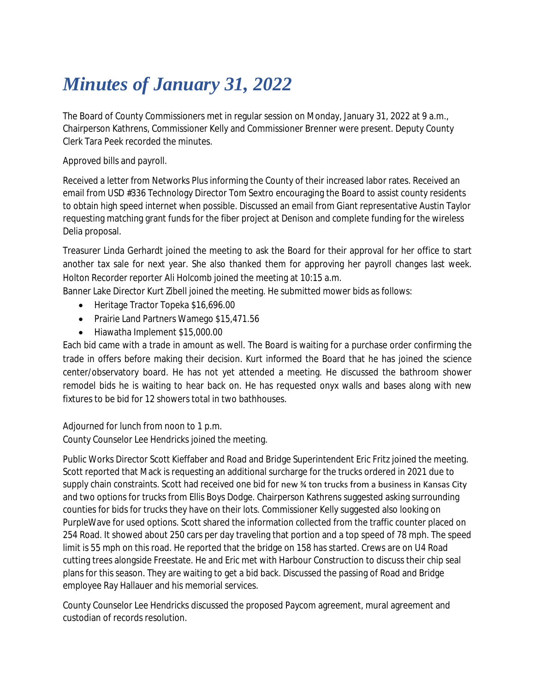## *Minutes of January 31, 2022*

The Board of County Commissioners met in regular session on Monday, January 31, 2022 at 9 a.m., Chairperson Kathrens, Commissioner Kelly and Commissioner Brenner were present. Deputy County Clerk Tara Peek recorded the minutes.

Approved bills and payroll.

Received a letter from Networks Plus informing the County of their increased labor rates. Received an email from USD #336 Technology Director Tom Sextro encouraging the Board to assist county residents to obtain high speed internet when possible. Discussed an email from Giant representative Austin Taylor requesting matching grant funds for the fiber project at Denison and complete funding for the wireless Delia proposal.

Treasurer Linda Gerhardt joined the meeting to ask the Board for their approval for her office to start another tax sale for next year. She also thanked them for approving her payroll changes last week. Holton Recorder reporter Ali Holcomb joined the meeting at 10:15 a.m.

Banner Lake Director Kurt Zibell joined the meeting. He submitted mower bids as follows:

- Heritage Tractor Topeka \$16,696.00
- Prairie Land Partners Wamego \$15,471.56
- Hiawatha Implement \$15,000.00

Each bid came with a trade in amount as well. The Board is waiting for a purchase order confirming the trade in offers before making their decision. Kurt informed the Board that he has joined the science center/observatory board. He has not yet attended a meeting. He discussed the bathroom shower remodel bids he is waiting to hear back on. He has requested onyx walls and bases along with new fixtures to be bid for 12 showers total in two bathhouses.

Adjourned for lunch from noon to 1 p.m. County Counselor Lee Hendricks joined the meeting.

Public Works Director Scott Kieffaber and Road and Bridge Superintendent Eric Fritz joined the meeting. Scott reported that Mack is requesting an additional surcharge for the trucks ordered in 2021 due to supply chain constraints. Scott had received one bid for new % ton trucks from a business in Kansas City and two options for trucks from Ellis Boys Dodge. Chairperson Kathrens suggested asking surrounding counties for bids for trucks they have on their lots. Commissioner Kelly suggested also looking on PurpleWave for used options. Scott shared the information collected from the traffic counter placed on 254 Road. It showed about 250 cars per day traveling that portion and a top speed of 78 mph. The speed limit is 55 mph on this road. He reported that the bridge on 158 has started. Crews are on U4 Road cutting trees alongside Freestate. He and Eric met with Harbour Construction to discuss their chip seal plans for this season. They are waiting to get a bid back. Discussed the passing of Road and Bridge employee Ray Hallauer and his memorial services.

County Counselor Lee Hendricks discussed the proposed Paycom agreement, mural agreement and custodian of records resolution.